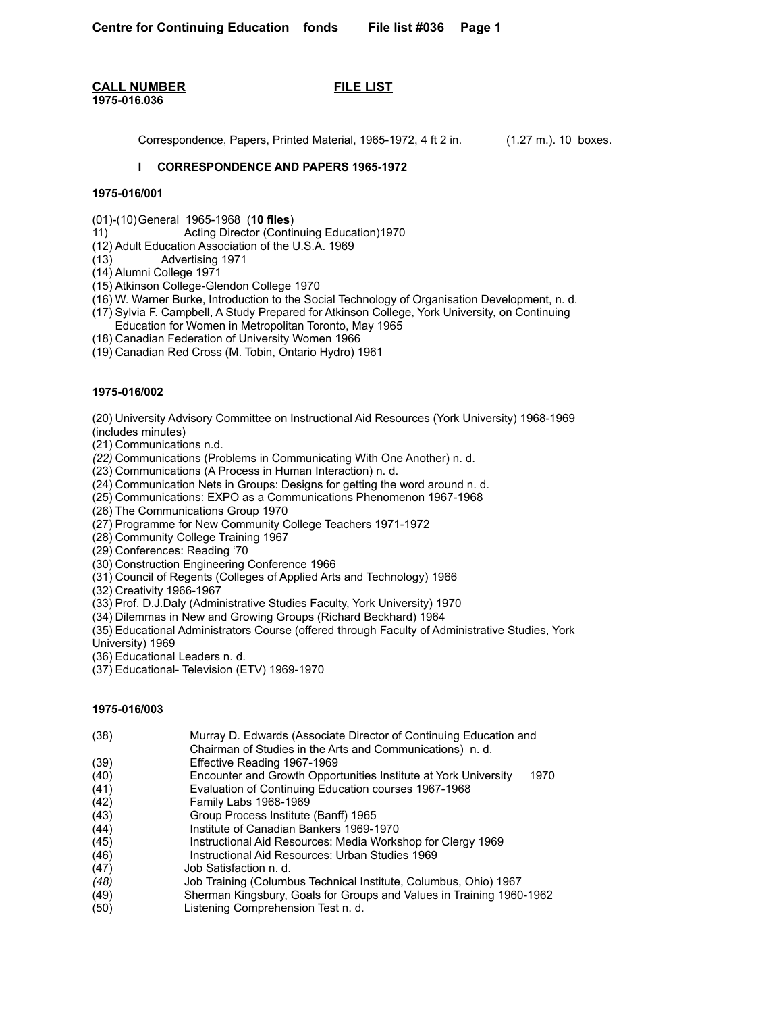## **CALL NUMBER FILE LIST 1975-016.036**

Correspondence, Papers, Printed Material, 1965-1972, 4 ft 2 in. (1.27 m.). 10 boxes.

# **I CORRESPONDENCE AND PAPERS 1965-1972**

## **1975-016/001**

(01)-(10)General 1965-1968 (**10 files**)

11) Acting Director (Continuing Education)1970

(12) Adult Education Association of the U.S.A. 1969

Advertising 1971

(14) Alumni College 1971

(15) Atkinson College-Glendon College 1970

(16) W. Warner Burke, Introduction to the Social Technology of Organisation Development, n. d.

(17) Sylvia F. Campbell, A Study Prepared for Atkinson College, York University, on Continuing Education for Women in Metropolitan Toronto, May 1965

(18) Canadian Federation of University Women 1966

(19) Canadian Red Cross (M. Tobin, Ontario Hydro) 1961

### **1975-016/002**

(20) University Advisory Committee on Instructional Aid Resources (York University) 1968-1969 (includes minutes)

(21) Communications n.d.

*(22)* Communications (Problems in Communicating With One Another) n. d.

(23) Communications (A Process in Human Interaction) n. d.

(24) Communication Nets in Groups: Designs for getting the word around n. d.

(25) Communications: EXPO as a Communications Phenomenon 1967-1968

(26) The Communications Group 1970

(27) Programme for New Community College Teachers 1971-1972

(28) Community College Training 1967

(29) Conferences: Reading '70

(30) Construction Engineering Conference 1966

(31) Council of Regents (Colleges of Applied Arts and Technology) 1966

(32) Creativity 1966-1967

(33) Prof. D.J.Daly (Administrative Studies Faculty, York University) 1970

(34) Dilemmas in New and Growing Groups (Richard Beckhard) 1964

(35) Educational Administrators Course (offered through Faculty of Administrative Studies, York

University) 1969

(36) Educational Leaders n. d.

(37) Educational- Television (ETV) 1969-1970

## **1975-016/003**

(38) Murray D. Edwards (Associate Director of Continuing Education and

Chairman of Studies in the Arts and Communications) n. d.

(39) Effective Reading 1967-1969

- (40) Encounter and Growth Opportunities Institute at York University 1970
- (41) Evaluation of Continuing Education courses 1967-1968

(42) Family Labs 1968-1969

- (43) Group Process Institute (Banff) 1965
- (44) Institute of Canadian Bankers 1969-1970

(45) Instructional Aid Resources: Media Workshop for Clergy 1969

- (46) Instructional Aid Resources: Urban Studies 1969
- (47) Job Satisfaction n. d.
- *(48)* Job Training (Columbus Technical Institute, Columbus, Ohio) 1967
- (49) Sherman Kingsbury, Goals for Groups and Values in Training 1960-1962
- (50) Listening Comprehension Test n. d.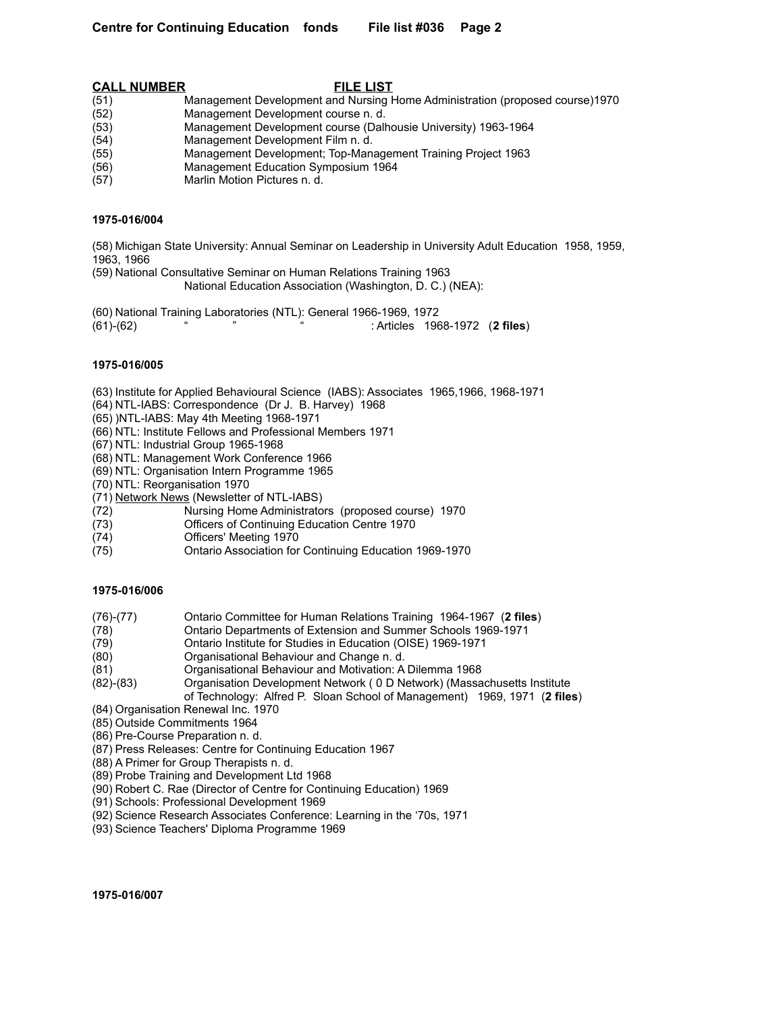|      | <b>CALL NUMBER</b> | <b>FILE LIST</b>                                                             |
|------|--------------------|------------------------------------------------------------------------------|
| (51) |                    | Management Development and Nursing Home Administration (proposed course)1970 |
| (52) |                    | Management Development course n. d.                                          |
| (53) |                    | Management Development course (Dalhousie University) 1963-1964               |
| (54) |                    | Management Development Film n. d.                                            |
| (55) |                    | Management Development; Top-Management Training Project 1963                 |
| (56) |                    | Management Education Symposium 1964                                          |
|      |                    |                                                                              |

(57) Marlin Motion Pictures n. d.

### **1975-016/004**

(58) Michigan State University: Annual Seminar on Leadership in University Adult Education 1958, 1959, 1963, 1966

(59) National Consultative Seminar on Human Relations Training 1963

National Education Association (Washington, D. C.) (NEA):

(60) National Training Laboratories (NTL): General 1966-1969, 1972 (61)-(62) " " " : Articles 1968-1972 (**2 files**)

## **1975-016/005**

- (63) Institute for Applied Behavioural Science (IABS): Associates 1965,1966, 1968-1971
- (64) NTL-IABS: Correspondence (Dr J. B. Harvey) 1968
- (65) )NTL-IABS: May 4th Meeting 1968-1971
- (66) NTL: Institute Fellows and Professional Members 1971
- (67) NTL: Industrial Group 1965-1968
- (68) NTL: Management Work Conference 1966
- (69) NTL: Organisation Intern Programme 1965
- (70) NTL: Reorganisation 1970
- (71) Network News (Newsletter of NTL-IABS)
- (72) Nursing Home Administrators (proposed course) 1970
- (73) Officers of Continuing Education Centre 1970
- (74) Officers' Meeting 1970
- (75) Ontario Association for Continuing Education 1969-1970

#### **1975-016/006**

- (76)-(77) Ontario Committee for Human Relations Training 1964-1967 (**2 files**)
- (78) Ontario Departments of Extension and Summer Schools 1969-1971
- (79) Ontario Institute for Studies in Education (OISE) 1969-1971
- (80) Organisational Behaviour and Change n. d.
- (81) Organisational Behaviour and Motivation: A Dilemma 1968
- (82)-(83) Organisation Development Network ( 0 D Network) (Massachusetts Institute

of Technology: Alfred P. Sloan School of Management) 1969, 1971 (**2 files**)

- (84) Organisation Renewal Inc. 1970
- (85) Outside Commitments 1964
- (86) Pre-Course Preparation n. d.
- (87) Press Releases: Centre for Continuing Education 1967
- (88) A Primer for Group Therapists n. d.
- (89) Probe Training and Development Ltd 1968
- (90) Robert C. Rae (Director of Centre for Continuing Education) 1969
- (91) Schools: Professional Development 1969
- (92) Science Research Associates Conference: Learning in the '70s, 1971
- (93) Science Teachers' Diploma Programme 1969